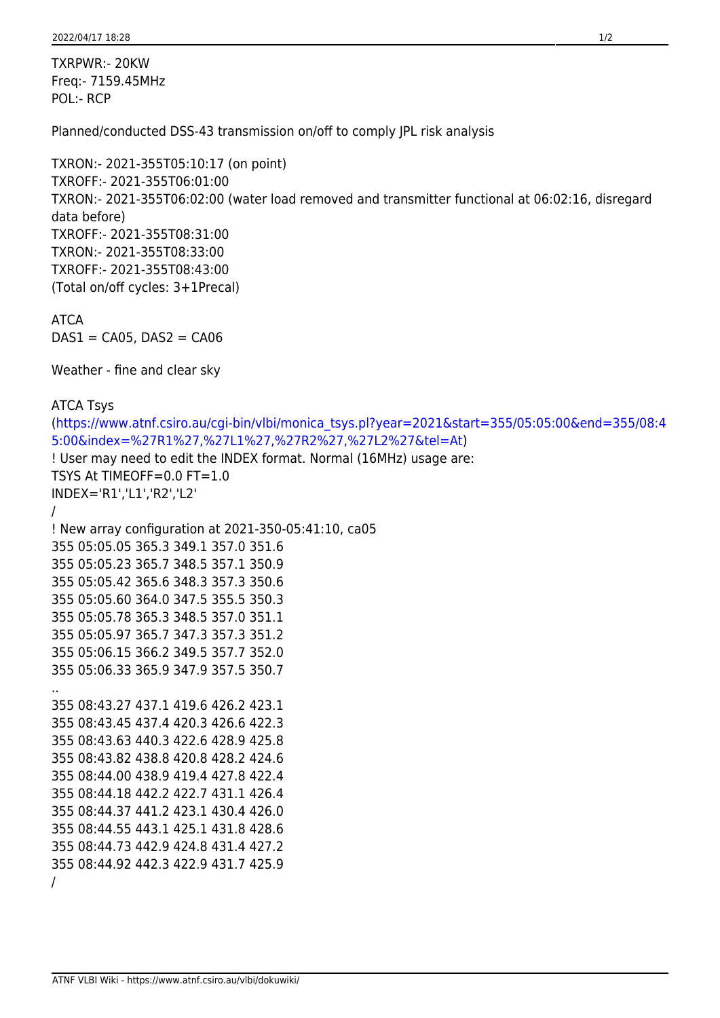TXRPWR:- 20KW Freq:- 7159.45MHz POL:- RCP

Planned/conducted DSS-43 transmission on/off to comply JPL risk analysis

```
TXRON:- 2021-355T05:10:17 (on point)
TXROFF:- 2021-355T06:01:00
TXRON:- 2021-355T06:02:00 (water load removed and transmitter functional at 06:02:16, disregard
data before)
TXROFF:- 2021-355T08:31:00
TXRON:- 2021-355T08:33:00
TXROFF:- 2021-355T08:43:00
(Total on/off cycles: 3+1Precal)
```
ATCA  $DAS1 = CA05$ ,  $DAS2 = CA06$ 

Weather - fine and clear sky

```
ATCA Tsys
(https://www.atnf.csiro.au/cgi-bin/vlbi/monica_tsys.pl?year=2021&start=355/05:05:00&end=355/08:4
5:00&index=%27R1%27,%27L1%27,%27R2%27,%27L2%27&tel=At)
! User may need to edit the INDEX format. Normal (16MHz) usage are:
TSYS At TIMEOFF=0.0 FT=1.0
INDEX='R1','L1','R2','L2'
/
! New array configuration at 2021-350-05:41:10, ca05
355 05:05.05 365.3 349.1 357.0 351.6
355 05:05.23 365.7 348.5 357.1 350.9
355 05:05.42 365.6 348.3 357.3 350.6
355 05:05.60 364.0 347.5 355.5 350.3
355 05:05.78 365.3 348.5 357.0 351.1
355 05:05.97 365.7 347.3 357.3 351.2
355 05:06.15 366.2 349.5 357.7 352.0
355 05:06.33 365.9 347.9 357.5 350.7
..
355 08:43.27 437.1 419.6 426.2 423.1
355 08:43.45 437.4 420.3 426.6 422.3
355 08:43.63 440.3 422.6 428.9 425.8
355 08:43.82 438.8 420.8 428.2 424.6
355 08:44.00 438.9 419.4 427.8 422.4
355 08:44.18 442.2 422.7 431.1 426.4
355 08:44.37 441.2 423.1 430.4 426.0
355 08:44.55 443.1 425.1 431.8 428.6
355 08:44.73 442.9 424.8 431.4 427.2
355 08:44.92 442.3 422.9 431.7 425.9
/
```